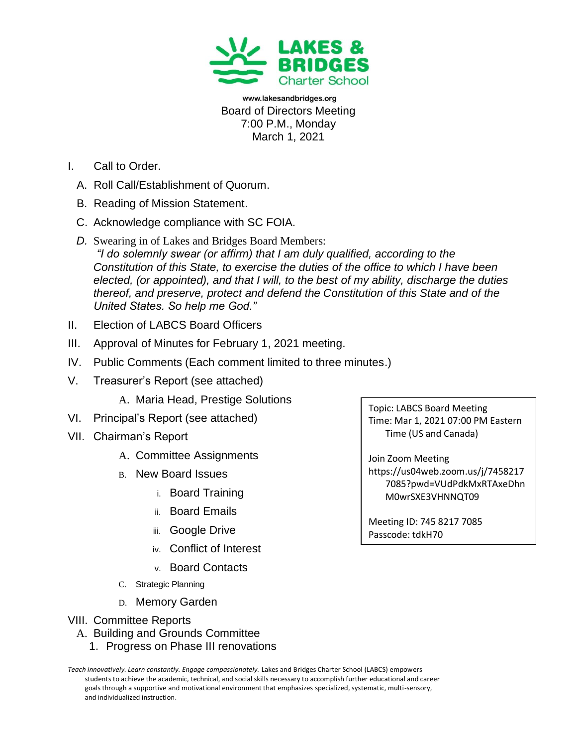

www.lakesandbridges.org Board of Directors Meeting 7:00 P.M., Monday March 1, 2021

- I. Call to Order.
	- A. Roll Call/Establishment of Quorum.
	- B. Reading of Mission Statement.
	- C. Acknowledge compliance with SC FOIA.
	- *D.* Swearing in of Lakes and Bridges Board Members: *"I do solemnly swear (or affirm) that I am duly qualified, according to the Constitution of this State, to exercise the duties of the office to which I have been elected, (or appointed), and that I will, to the best of my ability, discharge the duties thereof, and preserve, protect and defend the Constitution of this State and of the United States. So help me God."*
- II. Election of LABCS Board Officers
- III. Approval of Minutes for February 1, 2021 meeting.
- IV. Public Comments (Each comment limited to three minutes.)
- V. Treasurer's Report (see attached)
	- A. Maria Head, Prestige Solutions
- VI. Principal's Report (see attached)
- VII. Chairman's Report
	- A. Committee Assignments
	- B. New Board Issues
		- i. Board Training
		- ii. Board Emails
		- iii. Google Drive
		- iv. Conflict of Interest
		- v. Board Contacts
	- C. Strategic Planning
	- D. Memory Garden
- VIII. Committee Reports
	- A. Building and Grounds Committee
		- 1. Progress on Phase III renovations

Teach innovatively. Learn constantly. Engage compassionately. Lakes and Bridges Charter School (LABCS) empowers students to achieve the academic, technical, and social skills necessary to accomplish further educational and career goals through a supportive and motivational environment that emphasizes specialized, systematic, multi-sensory, and individualized instruction.

Topic: LABCS Board Meeting Time: Mar 1, 2021 07:00 PM Eastern Time (US and Canada)

Join Zoom Meeting https://us04web.zoom.us/j/7458217 7085?pwd=VUdPdkMxRTAxeDhn M0wrSXE3VHNNQT09

Meeting ID: 745 8217 7085 Passcode: tdkH70